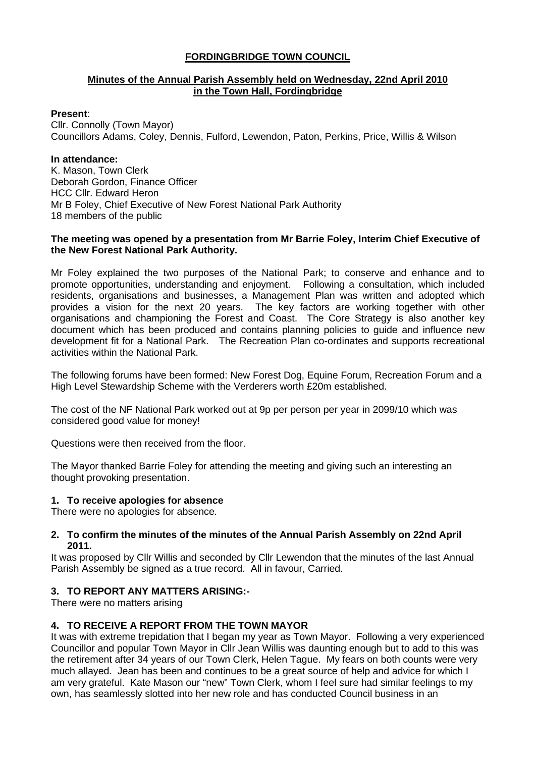# **FORDINGBRIDGE TOWN COUNCIL**

# **Minutes of the Annual Parish Assembly held on Wednesday, 22nd April 2010 in the Town Hall, Fordingbridge**

#### **Present**:

Cllr. Connolly (Town Mayor) Councillors Adams, Coley, Dennis, Fulford, Lewendon, Paton, Perkins, Price, Willis & Wilson

### **In attendance:**

K. Mason, Town Clerk Deborah Gordon, Finance Officer HCC Cllr. Edward Heron Mr B Foley, Chief Executive of New Forest National Park Authority 18 members of the public

### **The meeting was opened by a presentation from Mr Barrie Foley, Interim Chief Executive of the New Forest National Park Authority.**

Mr Foley explained the two purposes of the National Park; to conserve and enhance and to promote opportunities, understanding and enjoyment. Following a consultation, which included residents, organisations and businesses, a Management Plan was written and adopted which provides a vision for the next 20 years. The key factors are working together with other organisations and championing the Forest and Coast. The Core Strategy is also another key document which has been produced and contains planning policies to guide and influence new development fit for a National Park. The Recreation Plan co-ordinates and supports recreational activities within the National Park.

The following forums have been formed: New Forest Dog, Equine Forum, Recreation Forum and a High Level Stewardship Scheme with the Verderers worth £20m established.

The cost of the NF National Park worked out at 9p per person per year in 2099/10 which was considered good value for money!

Questions were then received from the floor.

The Mayor thanked Barrie Foley for attending the meeting and giving such an interesting an thought provoking presentation.

# **1. To receive apologies for absence**

There were no apologies for absence.

### **2. To confirm the minutes of the minutes of the Annual Parish Assembly on 22nd April 2011.**

It was proposed by Cllr Willis and seconded by Cllr Lewendon that the minutes of the last Annual Parish Assembly be signed as a true record. All in favour, Carried.

# **3. TO REPORT ANY MATTERS ARISING:-**

There were no matters arising

# **4. TO RECEIVE A REPORT FROM THE TOWN MAYOR**

It was with extreme trepidation that I began my year as Town Mayor. Following a very experienced Councillor and popular Town Mayor in Cllr Jean Willis was daunting enough but to add to this was the retirement after 34 years of our Town Clerk, Helen Tague. My fears on both counts were very much allayed. Jean has been and continues to be a great source of help and advice for which I am very grateful. Kate Mason our "new" Town Clerk, whom I feel sure had similar feelings to my own, has seamlessly slotted into her new role and has conducted Council business in an